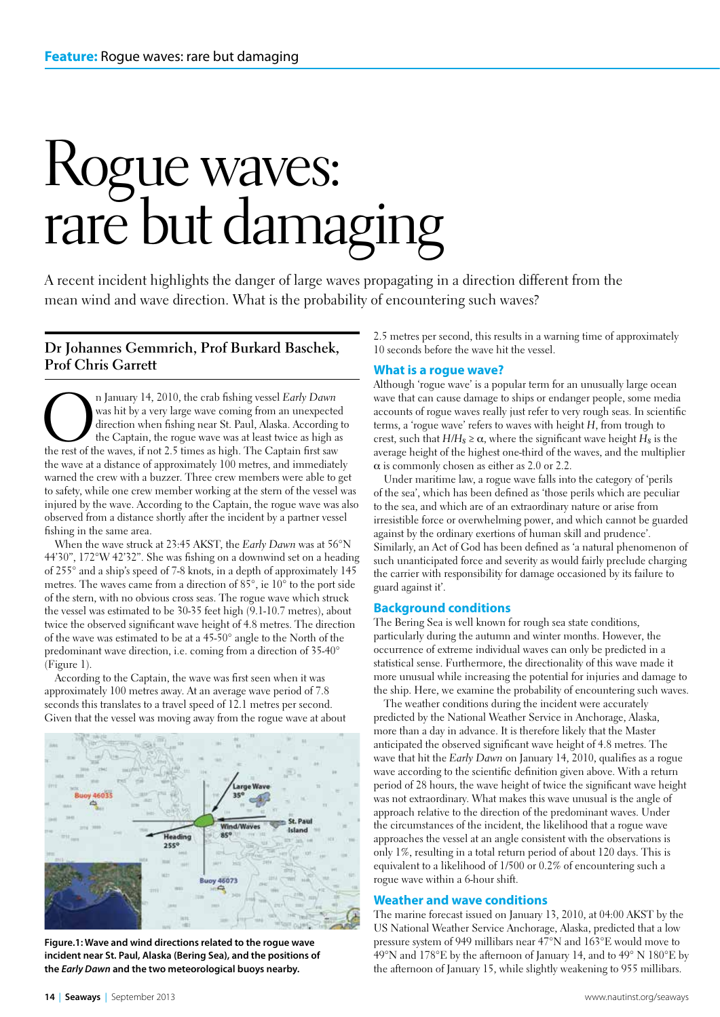# Rogue waves: rare but damaging

A recent incident highlights the danger of large waves propagating in a direction different from the mean wind and wave direction. What is the probability of encountering such waves?

#### **Dr Johannes Gemmrich, Prof Burkard Baschek, Prof Chris Garrett**

**On** January 14, 2010, the crab fishing vessel *Early Dawn* was hit by a very large wave coming from an unexpected direction when fishing near St. Paul, Alaska. According the Captain, the rogue wave was at least twice as h was hit by a very large wave coming from an unexpected direction when fishing near St. Paul, Alaska. According to the Captain, the rogue wave was at least twice as high as the wave at a distance of approximately 100 metres, and immediately warned the crew with a buzzer. Three crew members were able to get to safety, while one crew member working at the stern of the vessel was injured by the wave. According to the Captain, the rogue wave was also observed from a distance shortly after the incident by a partner vessel fishing in the same area.

When the wave struck at 23:45 AKST, the *Early Dawn* was at 56°N 44'30", 172°W 42'32". She was fishing on a downwind set on a heading of 255° and a ship's speed of 7-8 knots, in a depth of approximately 145 metres. The waves came from a direction of 85°, ie 10° to the port side of the stern, with no obvious cross seas. The rogue wave which struck the vessel was estimated to be 30-35 feet high (9.1-10.7 metres), about twice the observed significant wave height of 4.8 metres. The direction of the wave was estimated to be at a 45-50° angle to the North of the predominant wave direction, i.e. coming from a direction of 35-40° (Figure 1).

According to the Captain, the wave was first seen when it was approximately 100 metres away. At an average wave period of 7.8 seconds this translates to a travel speed of 12.1 metres per second. Given that the vessel was moving away from the rogue wave at about



**Figure.1: Wave and wind directions related to the rogue wave incident near St. Paul, Alaska (Bering Sea), and the positions of the** *Early Dawn* **and the two meteorological buoys nearby.**

2.5 metres per second, this results in a warning time of approximately 10 seconds before the wave hit the vessel.

#### **What is a rogue wave?**

Although 'rogue wave' is a popular term for an unusually large ocean wave that can cause damage to ships or endanger people, some media accounts of rogue waves really just refer to very rough seas. In scientific terms, a 'rogue wave' refers to waves with height *H*, from trough to crest, such that  $H/H_s \ge \alpha$ , where the significant wave height  $H_s$  is the average height of the highest one-third of the waves, and the multiplier  $\alpha$  is commonly chosen as either as 2.0 or 2.2.

Under maritime law, a rogue wave falls into the category of 'perils of the sea', which has been defined as 'those perils which are peculiar to the sea, and which are of an extraordinary nature or arise from irresistible force or overwhelming power, and which cannot be guarded against by the ordinary exertions of human skill and prudence'. Similarly, an Act of God has been defined as 'a natural phenomenon of such unanticipated force and severity as would fairly preclude charging the carrier with responsibility for damage occasioned by its failure to guard against it'.

#### **Background conditions**

The Bering Sea is well known for rough sea state conditions, particularly during the autumn and winter months. However, the occurrence of extreme individual waves can only be predicted in a statistical sense. Furthermore, the directionality of this wave made it more unusual while increasing the potential for injuries and damage to the ship. Here, we examine the probability of encountering such waves.

The weather conditions during the incident were accurately predicted by the National Weather Service in Anchorage, Alaska, more than a day in advance. It is therefore likely that the Master anticipated the observed significant wave height of 4.8 metres. The wave that hit the *Early Dawn* on January 14, 2010, qualifies as a rogue wave according to the scientific definition given above. With a return period of 28 hours, the wave height of twice the significant wave height was not extraordinary. What makes this wave unusual is the angle of approach relative to the direction of the predominant waves. Under the circumstances of the incident, the likelihood that a rogue wave approaches the vessel at an angle consistent with the observations is only 1%, resulting in a total return period of about 120 days. This is equivalent to a likelihood of 1/500 or 0.2% of encountering such a rogue wave within a 6-hour shift.

#### **Weather and wave conditions**

The marine forecast issued on January 13, 2010, at 04:00 AKST by the US National Weather Service Anchorage, Alaska, predicted that a low pressure system of 949 millibars near 47°N and 163°E would move to 49°N and 178°E by the afternoon of January 14, and to 49° N 180°E by the afternoon of January 15, while slightly weakening to 955 millibars.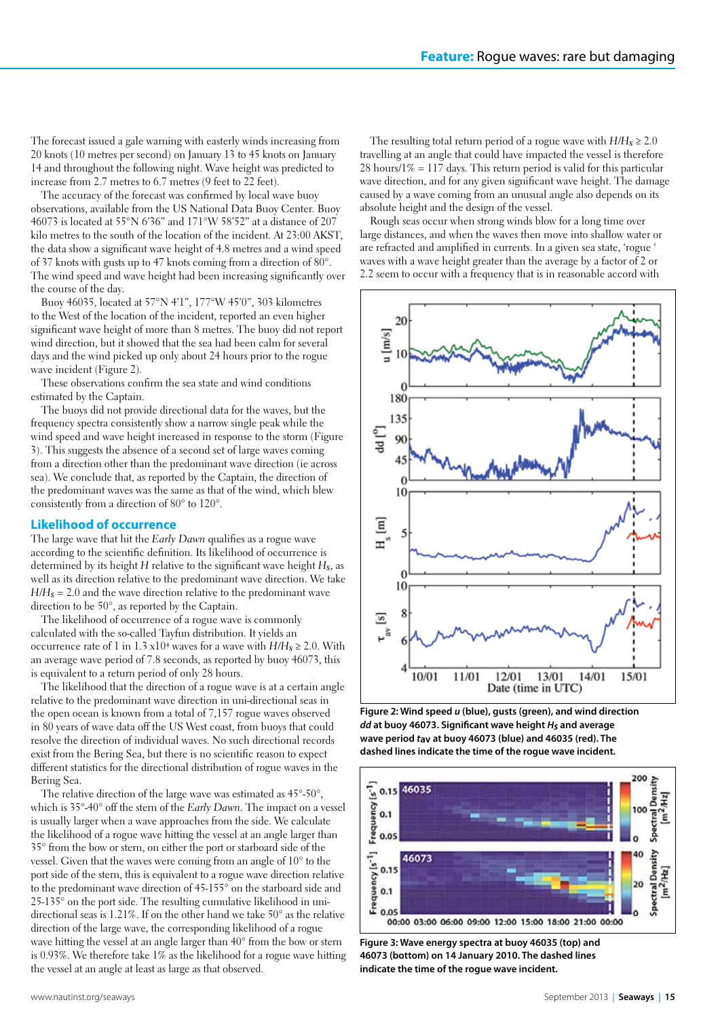The forecast issued a gale warning with easterly winds increasing from 20 knots (10 metres per second) on January 13 to 45 knots on January 14 and throughout the following night. Wave height was predicted to increase from 2.7 metres to 6.7 metres (9 feet to 22 feet).

The accuracy of the forecast was confirmed by local wave buoy observations, available from the US National Data Buoy Center. Buoy 46073 is located at 55°N 6'36" and 171°W 58'52" at a distance of 207 kilo metres to the south of the location of the incident. At 23:00 AKST, the data show a significant wave height of 4.8 metres and a wind speed of 37 knots with gusts up to 47 knots coming from a direction of 80°. The wind speed and wave height had been increasing significantly over the course of the day.

Buoy 46035, located at 57°N 4'1", 177°W 45'0", 303 kilometres to the West of the location of the incident, reported an even higher significant wave height of more than 8 metres. The buoy did not report wind direction, but it showed that the sea had been calm for several days and the wind picked up only about 24 hours prior to the rogue wave incident (Figure 2).

These observations confirm the sea state and wind conditions estimated by the Captain.

The buoys did not provide directional data for the waves, but the frequency spectra consistently show a narrow single peak while the wind speed and wave height increased in response to the storm (Figure 3). This suggests the absence of a second set of large waves coming from a direction other than the predominant wave direction (ie across sea). We conclude that, as reported by the Captain, the direction of the predominant waves was the same as that of the wind, which blew consistently from a direction of 80° to 120°.

#### **Likelihood of occurrence**

The large wave that hit the *Early Dawn* qualifies as a rogue wave according to the scientific definition. Its likelihood of occurrence is determined by its height *H* relative to the significant wave height *Hs*, as well as its direction relative to the predominant wave direction. We take  $H/H<sub>8</sub> = 2.0$  and the wave direction relative to the predominant wave direction to be 50°, as reported by the Captain.

The likelihood of occurrence of a rogue wave is commonly calculated with the so-called Tayfun distribution. It yields an occurrence rate of 1 in 1.3  $x10^4$  waves for a wave with  $H/H_s \ge 2.0$ . With an average wave period of 7.8 seconds, as reported by buoy 46073, this is equivalent to a return period of only 28 hours.

The likelihood that the direction of a rogue wave is at a certain angle relative to the predominant wave direction in uni-directional seas in the open ocean is known from a total of 7,157 rogue waves observed in 80 years of wave data off the US West coast, from buoys that could resolve the direction of individual waves. No such directional records exist from the Bering Sea, but there is no scientific reason to expect different statistics for the directional distribution of rogue waves in the Bering Sea.

The relative direction of the large wave was estimated as 45°-50°, which is 35°-40° off the stern of the *Early Dawn*. The impact on a vessel is usually larger when a wave approaches from the side. We calculate the likelihood of a rogue wave hitting the vessel at an angle larger than 35° from the bow or stern, on either the port or starboard side of the vessel. Given that the waves were coming from an angle of 10° to the port side of the stern, this is equivalent to a rogue wave direction relative to the predominant wave direction of 45-155° on the starboard side and 25-135° on the port side. The resulting cumulative likelihood in unidirectional seas is 1.21%. If on the other hand we take 50° as the relative direction of the large wave, the corresponding likelihood of a rogue wave hitting the vessel at an angle larger than 40° from the bow or stern is 0.93%. We therefore take 1% as the likelihood for a rogue wave hitting the vessel at an angle at least as large as that observed.

The resulting total return period of a rogue wave with  $H/H_s \geq 2.0$ travelling at an angle that could have impacted the vessel is therefore  $28 \text{ hours}/1\% = 117 \text{ days}$ . This return period is valid for this particular wave direction, and for any given significant wave height. The damage caused by a wave coming from an unusual angle also depends on its absolute height and the design of the vessel.

Rough seas occur when strong winds blow for a long time over large distances, and when the waves then move into shallow water or are refracted and amplified in currents. In a given sea state, 'rogue ' waves with a wave height greater than the average by a factor of 2 or 2.2 seem to occur with a frequency that is in reasonable accord with



**Figure 2: Wind speed** *u* **(blue), gusts (green), and wind direction**  *dd* **at buoy 46073. Significant wave height** *Hs* **and average wave period** *t***av at buoy 46073 (blue) and 46035 (red). The dashed lines indicate the time of the rogue wave incident.** 



**Figure 3: Wave energy spectra at buoy 46035 (top) and 46073 (bottom) on 14 January 2010. The dashed lines indicate the time of the rogue wave incident.**